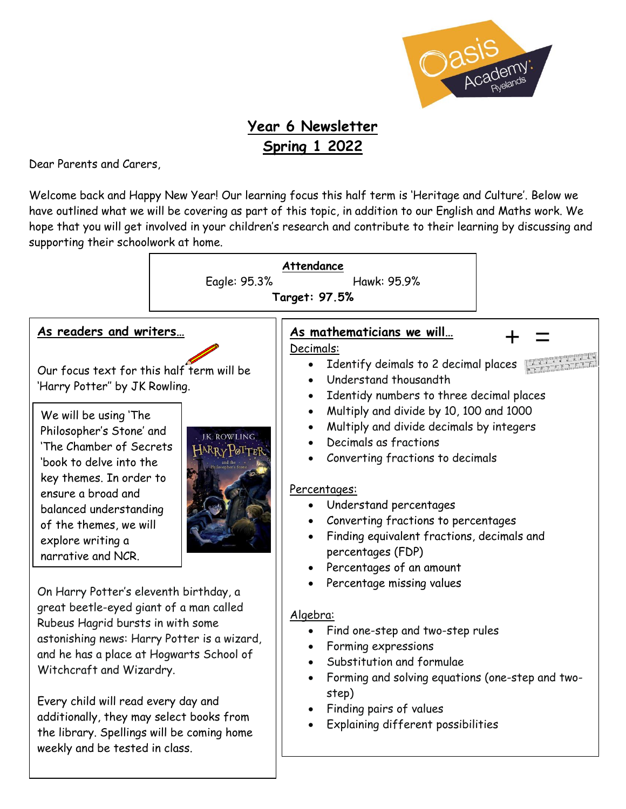

# **Year 6 Newsletter Spring 1 2022**

Dear Parents and Carers,

Welcome back and Happy New Year! Our learning focus this half term is 'Heritage and Culture'. Below we have outlined what we will be covering as part of this topic, in addition to our English and Maths work. We hope that you will get involved in your children's research and contribute to their learning by discussing and supporting their schoolwork at home.